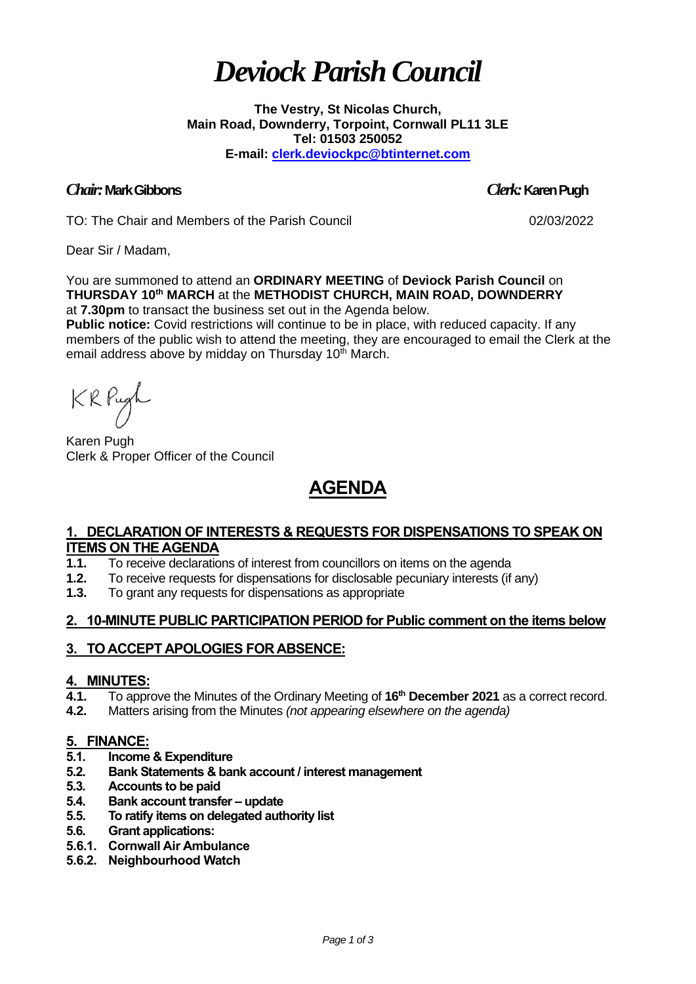# *Deviock Parish Council*

**The Vestry, St Nicolas Church, Main Road, Downderry, Torpoint, Cornwall PL11 3LE Tel: 01503 250052 E-mail: [clerk.deviockpc@btinternet.com](mailto:clerk.deviockpc@btinternet.com)**

# *Chair:* **Mark Gibbons** *Clerk:* **Karen Pugh**

TO: The Chair and Members of the Parish Council 02/03/2022

Dear Sir / Madam,

You are summoned to attend an **ORDINARY MEETING** of **Deviock Parish Council** on **THURSDAY 10 th MARCH** at the **METHODIST CHURCH, MAIN ROAD, DOWNDERRY** at **7.30pm** to transact the business set out in the Agenda below.

**Public notice:** Covid restrictions will continue to be in place, with reduced capacity. If any members of the public wish to attend the meeting, they are encouraged to email the Clerk at the email address above by midday on Thursday 10<sup>th</sup> March.

KRPugh

Karen Pugh Clerk & Proper Officer of the Council

# **AGENDA**

# **1. DECLARATION OF INTERESTS & REQUESTS FOR DISPENSATIONS TO SPEAK ON ITEMS ON THE AGENDA**

- **1.1.** To receive declarations of interest from councillors on items on the agenda
- **1.2.** To receive requests for dispensations for disclosable pecuniary interests (if any)
- **1.3.** To grant any requests for dispensations as appropriate

# **2. 10-MINUTE PUBLIC PARTICIPATION PERIOD for Public comment on the items below**

# **3. TO ACCEPT APOLOGIES FOR ABSENCE:**

## **4. MINUTES:**

- **4.1.** To approve the Minutes of the Ordinary Meeting of **16 th December 2021** as a correct record.
- **4.2.** Matters arising from the Minutes *(not appearing elsewhere on the agenda)*

# **5. FINANCE:**

- **5.1. Income & Expenditure**
- **5.2. Bank Statements & bank account / interest management**
- **5.3. Accounts to be paid**
- **5.4. Bank account transfer – update**
- **5.5. To ratify items on delegated authority list**
- **5.6. Grant applications:**
- **5.6.1. Cornwall Air Ambulance**
- **5.6.2. Neighbourhood Watch**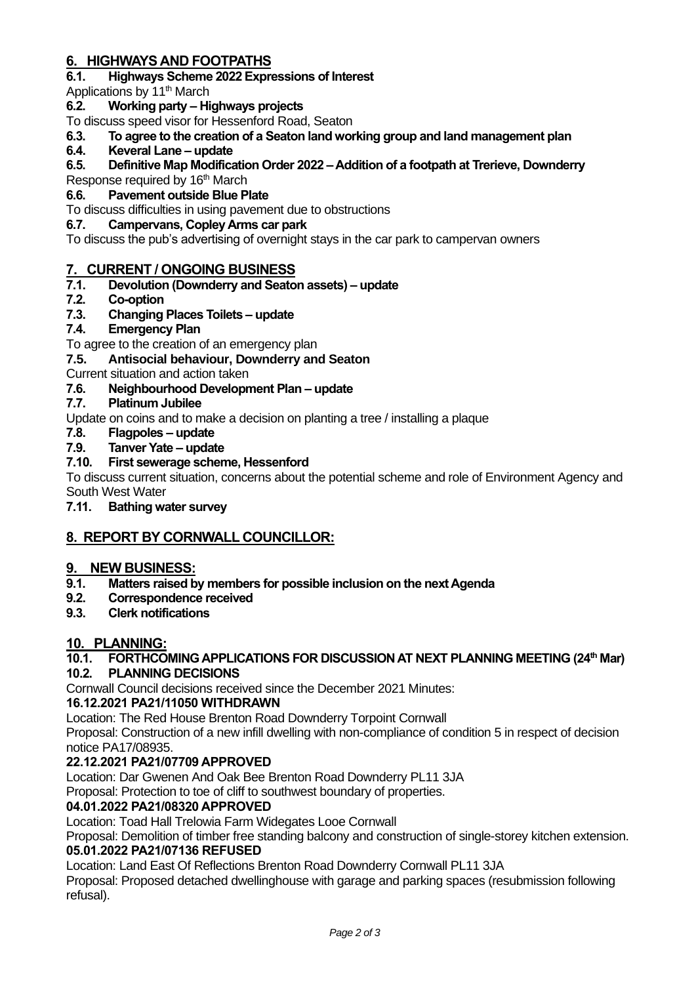# **6. HIGHWAYS AND FOOTPATHS**

**6.1. Highways Scheme 2022 Expressions of Interest**

Applications by 11<sup>th</sup> March

# **6.2. Working party – Highways projects**

To discuss speed visor for Hessenford Road, Seaton

**6.3. To agree to the creation of a Seaton land working group and land management plan**

# **6.4. Keveral Lane – update**

# **6.5. Definitive Map Modification Order 2022 – Addition of a footpath at Trerieve, Downderry**

Response required by 16<sup>th</sup> March

# **6.6. Pavement outside Blue Plate**

To discuss difficulties in using pavement due to obstructions

## **6.7. Campervans, Copley Arms car park**

To discuss the pub's advertising of overnight stays in the car park to campervan owners

# **7. CURRENT / ONGOING BUSINESS**

# **7.1. Devolution (Downderry and Seaton assets) – update**

**7.2. Co-option**

# **7.3. Changing Places Toilets – update**

# **7.4. Emergency Plan**

To agree to the creation of an emergency plan

# **7.5. Antisocial behaviour, Downderry and Seaton**

Current situation and action taken

## **7.6. Neighbourhood Development Plan – update**

## **7.7. Platinum Jubilee**

Update on coins and to make a decision on planting a tree / installing a plaque

**7.8. Flagpoles – update**

## **7.9. Tanver Yate – update**

# **7.10. First sewerage scheme, Hessenford**

To discuss current situation, concerns about the potential scheme and role of Environment Agency and South West Water

# **7.11. Bathing water survey**

# **8. REPORT BY CORNWALL COUNCILLOR:**

## **9. NEW BUSINESS:**

- **9.1. Matters raised by members for possible inclusion on the next Agenda**
- **9.2. Correspondence received**
- **9.3. Clerk notifications**

## **10. PLANNING:**

## **10.1. FORTHCOMING APPLICATIONS FOR DISCUSSION AT NEXT PLANNING MEETING (24th Mar)**

## **10.2. PLANNING DECISIONS**

Cornwall Council decisions received since the December 2021 Minutes:

## **16.12.2021 PA21/11050 WITHDRAWN**

Location: The Red House Brenton Road Downderry Torpoint Cornwall

Proposal: Construction of a new infill dwelling with non-compliance of condition 5 in respect of decision notice PA17/08935.

## **22.12.2021 PA21/07709 APPROVED**

Location: Dar Gwenen And Oak Bee Brenton Road Downderry PL11 3JA

Proposal: Protection to toe of cliff to southwest boundary of properties.

## **04.01.2022 PA21/08320 APPROVED**

Location: Toad Hall Trelowia Farm Widegates Looe Cornwall

Proposal: Demolition of timber free standing balcony and construction of single-storey kitchen extension. **05.01.2022 PA21/07136 REFUSED** 

Location: Land East Of Reflections Brenton Road Downderry Cornwall PL11 3JA

Proposal: Proposed detached dwellinghouse with garage and parking spaces (resubmission following refusal).